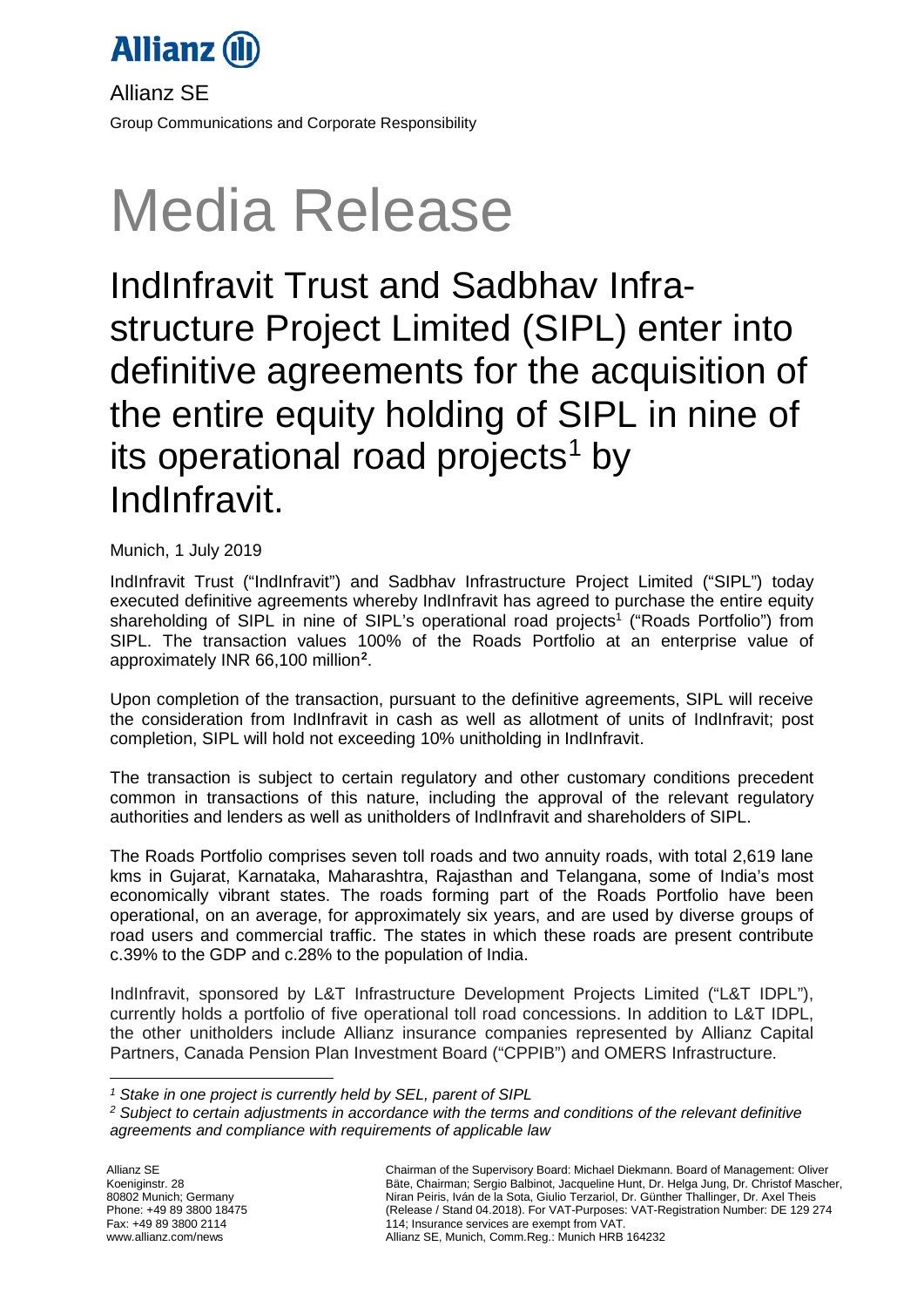

Allianz SE Group Communications and Corporate Responsibility

# Media Release

IndInfravit Trust and Sadbhav Infrastructure Project Limited (SIPL) enter into definitive agreements for the acquisition of the entire equity holding of SIPL in nine of its operational road projects<sup>[1](#page-0-0)</sup> by IndInfravit.

Munich, 1 July 2019

IndInfravit Trust ("IndInfravit") and Sadbhav Infrastructure Project Limited ("SIPL") today executed definitive agreements whereby IndInfravit has agreed to purchase the entire equity shareholding of SIPL in nine of SIPL's operational road projects<sup>1</sup> ("Roads Portfolio") from SIPL. The transaction values 100% of the Roads Portfolio at an enterprise value of approximately INR 66,100 million**[2](#page-0-1)** .

Upon completion of the transaction, pursuant to the definitive agreements, SIPL will receive the consideration from IndInfravit in cash as well as allotment of units of IndInfravit; post completion, SIPL will hold not exceeding 10% unitholding in IndInfravit.

The transaction is subject to certain regulatory and other customary conditions precedent common in transactions of this nature, including the approval of the relevant regulatory authorities and lenders as well as unitholders of IndInfravit and shareholders of SIPL.

The Roads Portfolio comprises seven toll roads and two annuity roads, with total 2,619 lane kms in Gujarat, Karnataka, Maharashtra, Rajasthan and Telangana, some of India's most economically vibrant states. The roads forming part of the Roads Portfolio have been operational, on an average, for approximately six years, and are used by diverse groups of road users and commercial traffic. The states in which these roads are present contribute c.39% to the GDP and c.28% to the population of India.

IndInfravit, sponsored by L&T Infrastructure Development Projects Limited ("L&T IDPL"), currently holds a portfolio of five operational toll road concessions. In addition to L&T IDPL, the other unitholders include Allianz insurance companies represented by Allianz Capital Partners, Canada Pension Plan Investment Board ("CPPIB") and OMERS Infrastructure.

<sup>-</sup>*<sup>1</sup> Stake in one project is currently held by SEL, parent of SIPL*

<span id="page-0-1"></span><span id="page-0-0"></span>*<sup>2</sup> Subject to certain adjustments in accordance with the terms and conditions of the relevant definitive agreements and compliance with requirements of applicable law*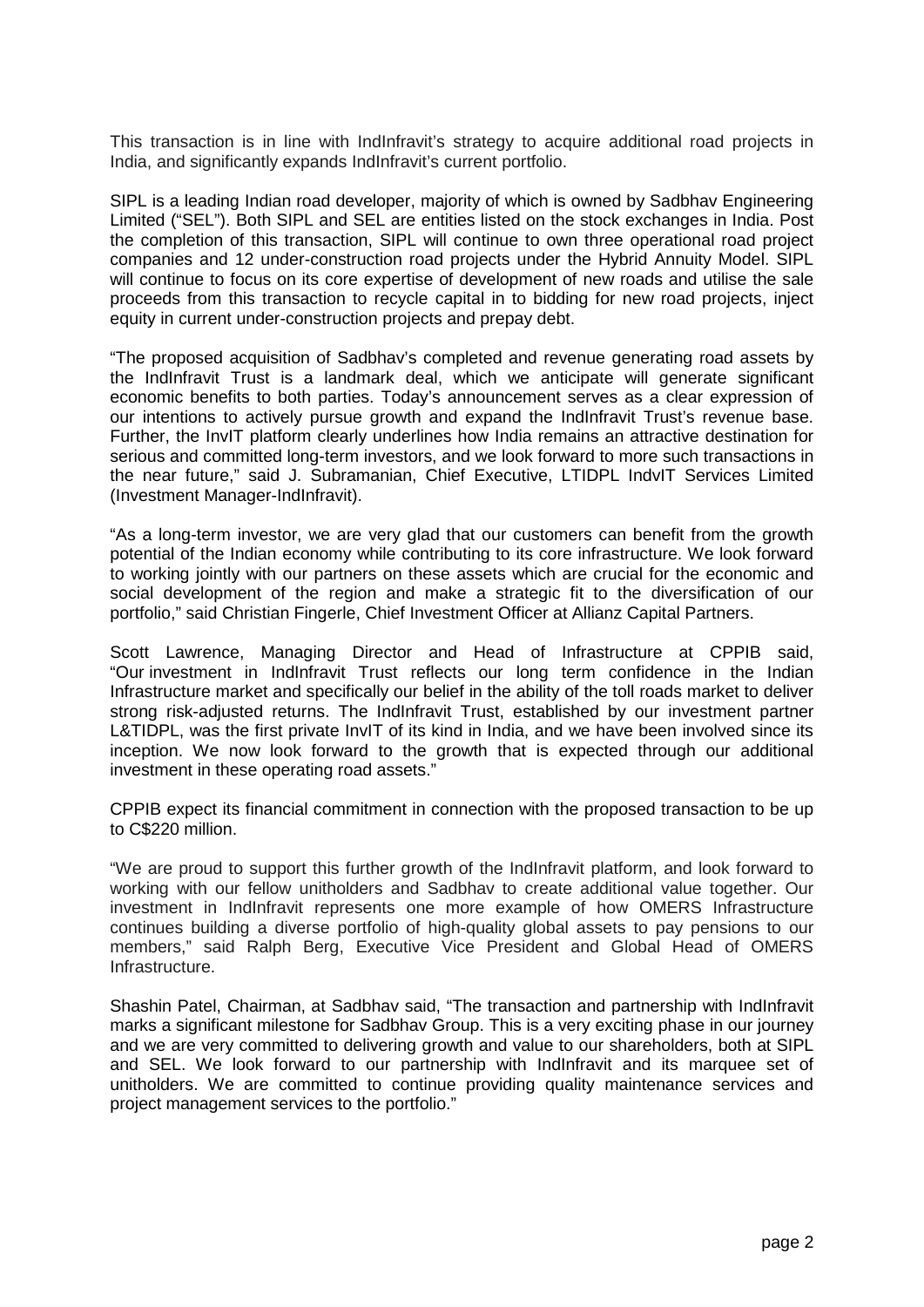This transaction is in line with IndInfravit's strategy to acquire additional road projects in India, and significantly expands IndInfravit's current portfolio.

SIPL is a leading Indian road developer, majority of which is owned by Sadbhav Engineering Limited ("SEL"). Both SIPL and SEL are entities listed on the stock exchanges in India. Post the completion of this transaction, SIPL will continue to own three operational road project companies and 12 under-construction road projects under the Hybrid Annuity Model. SIPL will continue to focus on its core expertise of development of new roads and utilise the sale proceeds from this transaction to recycle capital in to bidding for new road projects, inject equity in current under-construction projects and prepay debt.

"The proposed acquisition of Sadbhav's completed and revenue generating road assets by the IndInfravit Trust is a landmark deal, which we anticipate will generate significant economic benefits to both parties. Today's announcement serves as a clear expression of our intentions to actively pursue growth and expand the IndInfravit Trust's revenue base. Further, the InvIT platform clearly underlines how India remains an attractive destination for serious and committed long-term investors, and we look forward to more such transactions in the near future," said J. Subramanian, Chief Executive, LTIDPL IndvIT Services Limited (Investment Manager-IndInfravit).

"As a long-term investor, we are very glad that our customers can benefit from the growth potential of the Indian economy while contributing to its core infrastructure. We look forward to working jointly with our partners on these assets which are crucial for the economic and social development of the region and make a strategic fit to the diversification of our portfolio," said Christian Fingerle, Chief Investment Officer at Allianz Capital Partners.

Scott Lawrence, Managing Director and Head of Infrastructure at CPPIB said, "Our investment in IndInfravit Trust reflects our long term confidence in the Indian Infrastructure market and specifically our belief in the ability of the toll roads market to deliver strong risk-adjusted returns. The IndInfravit Trust, established by our investment partner L&TIDPL, was the first private InvIT of its kind in India, and we have been involved since its inception. We now look forward to the growth that is expected through our additional investment in these operating road assets."

CPPIB expect its financial commitment in connection with the proposed transaction to be up to C\$220 million.

"We are proud to support this further growth of the IndInfravit platform, and look forward to working with our fellow unitholders and Sadbhav to create additional value together. Our investment in IndInfravit represents one more example of how OMERS Infrastructure continues building a diverse portfolio of high-quality global assets to pay pensions to our members," said Ralph Berg, Executive Vice President and Global Head of OMERS Infrastructure.

Shashin Patel, Chairman, at Sadbhav said, "The transaction and partnership with IndInfravit marks a significant milestone for Sadbhav Group. This is a very exciting phase in our journey and we are very committed to delivering growth and value to our shareholders, both at SIPL and SEL. We look forward to our partnership with IndInfravit and its marquee set of unitholders. We are committed to continue providing quality maintenance services and project management services to the portfolio."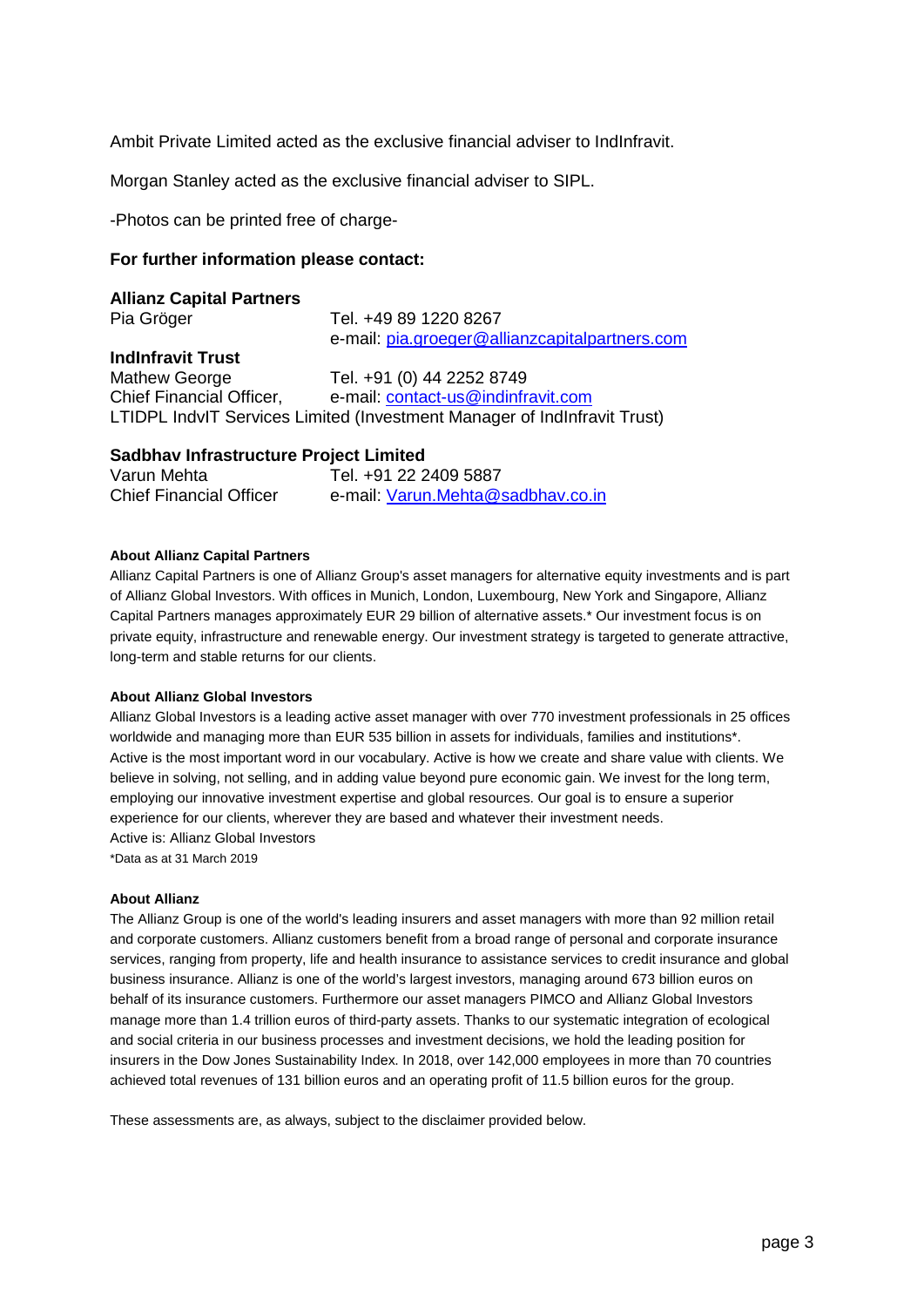Ambit Private Limited acted as the exclusive financial adviser to IndInfravit.

Morgan Stanley acted as the exclusive financial adviser to SIPL.

-Photos can be printed free of charge-

## **For further information please contact:**

# **Allianz Capital Partners**

Pia Gröger Tel. +49 89 1220 8267 e-mail: [pia.groeger@allianzcapitalpartners.com](mailto:pia.groeger@allianzcapitalpartners.com) **IndInfravit Trust** Mathew George Tel. +91 (0) 44 2252 8749 Chief Financial Officer, e-mail: [contact-us@indinfravit.com](mailto:contact-us@indinfravit.com) LTIDPL IndvIT Services Limited (Investment Manager of IndInfravit Trust)

# **Sadbhav Infrastructure Project Limited**

| Varun Mehta                    | Tel. +91 22 2409 5887             |
|--------------------------------|-----------------------------------|
| <b>Chief Financial Officer</b> | e-mail: Varun.Mehta@sadbhav.co.in |

### **About Allianz Capital Partners**

Allianz Capital Partners is one of Allianz Group's asset managers for alternative equity investments and is part of Allianz Global Investors. With offices in Munich, London, Luxembourg, New York and Singapore, Allianz Capital Partners manages approximately EUR 29 billion of alternative assets.\* Our investment focus is on private equity, infrastructure and renewable energy. Our investment strategy is targeted to generate attractive, long-term and stable returns for our clients.

#### **About Allianz Global Investors**

Allianz Global Investors is a leading active asset manager with over 770 investment professionals in 25 offices worldwide and managing more than EUR 535 billion in assets for individuals, families and institutions\*. Active is the most important word in our vocabulary. Active is how we create and share value with clients. We believe in solving, not selling, and in adding value beyond pure economic gain. We invest for the long term, employing our innovative investment expertise and global resources. Our goal is to ensure a superior experience for our clients, wherever they are based and whatever their investment needs. Active is: Allianz Global Investors \*Data as at 31 March 2019

#### **About Allianz**

The Allianz Group is one of the world's leading insurers and asset managers with more than 92 million retail and corporate customers. Allianz customers benefit from a broad range of personal and corporate insurance services, ranging from property, life and health insurance to assistance services to credit insurance and global business insurance. Allianz is one of the world's largest investors, managing around 673 billion euros on behalf of its insurance customers. Furthermore our asset managers PIMCO and Allianz Global Investors manage more than 1.4 trillion euros of third-party assets. Thanks to our systematic integration of ecological and social criteria in our business processes and investment decisions, we hold the leading position for insurers in the Dow Jones Sustainability Index. In 2018, over 142,000 employees in more than 70 countries achieved total revenues of 131 billion euros and an operating profit of 11.5 billion euros for the group.

These assessments are, as always, subject to the disclaimer provided below.